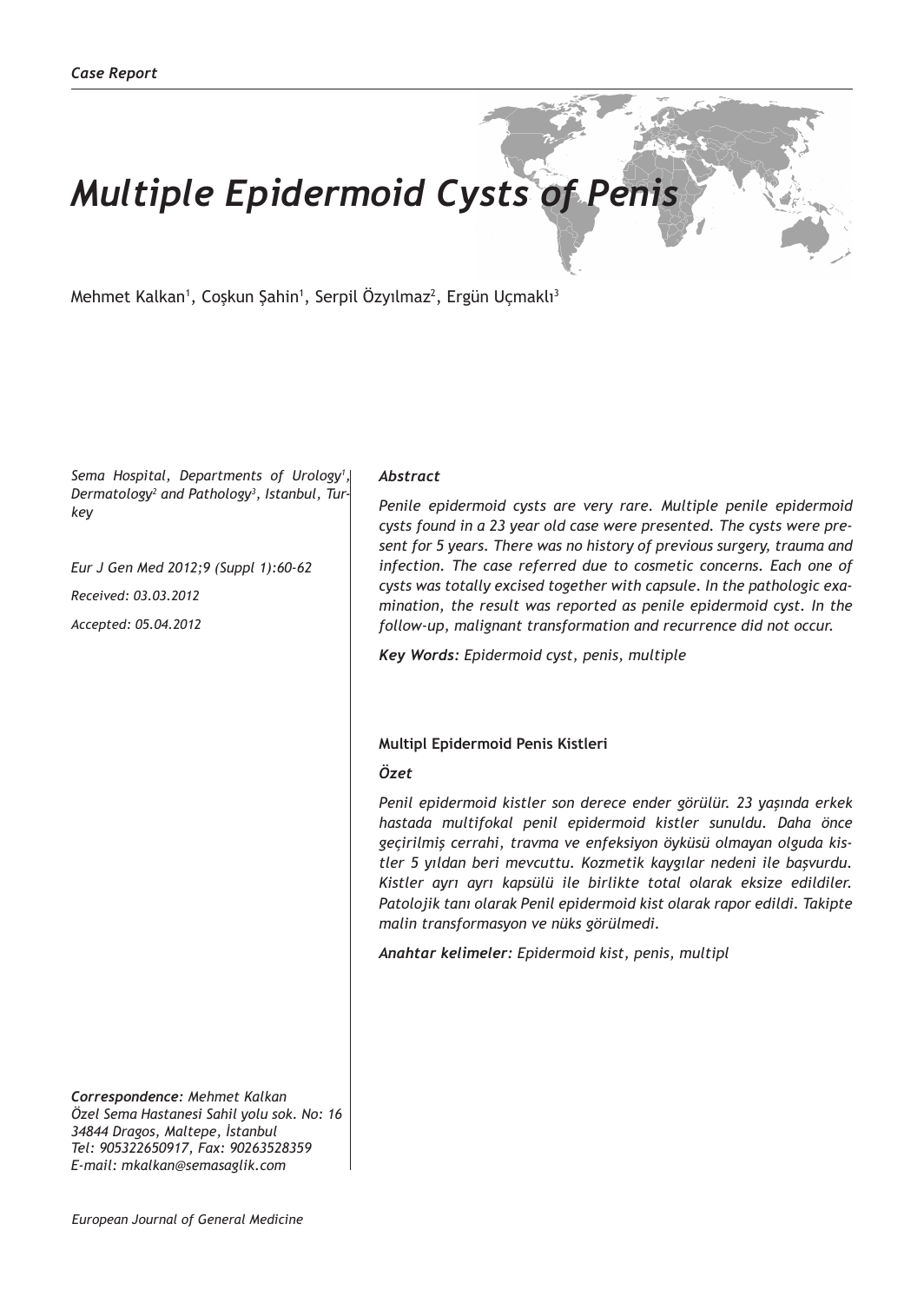# *Multiple Epidermoid Cysts of Penis*

Mehmet Kalkan<sup>1</sup>, Coşkun Şahin<sup>1</sup>, Serpil Özyılmaz<sup>2</sup>, Ergün Uçmaklı<sup>3</sup>

*Sema Hospital, Departments of Urology1 , Dermatology2 and Pathology3 , Istanbul, Turkey*

*Eur J Gen Med 2012;9 (Suppl 1):60-62 Received: 03.03.2012 Accepted: 05.04.2012*

*Correspondence: Mehmet Kalkan Özel Sema Hastanesi Sahil yolu sok. No: 16 34844 Dragos, Maltepe, İstanbul Tel: 905322650917, Fax: 90263528359 E-mail: mkalkan@semasaglik.com*

## *Abstract*

*Penile epidermoid cysts are very rare. Multiple penile epidermoid cysts found in a 23 year old case were presented. The cysts were present for 5 years. There was no history of previous surgery, trauma and infection. The case referred due to cosmetic concerns. Each one of cysts was totally excised together with capsule. In the pathologic examination, the result was reported as penile epidermoid cyst. In the follow-up, malignant transformation and recurrence did not occur.*

*Key Words: Epidermoid cyst, penis, multiple*

### **Multipl Epidermoid Penis Kistleri**

### *Özet*

*Penil epidermoid kistler son derece ender görülür. 23 yaşında erkek hastada multifokal penil epidermoid kistler sunuldu. Daha önce geçirilmiş cerrahi, travma ve enfeksiyon öyküsü olmayan olguda kistler 5 yıldan beri mevcuttu. Kozmetik kaygılar nedeni ile başvurdu. Kistler ayrı ayrı kapsülü ile birlikte total olarak eksize edildiler. Patolojik tanı olarak Penil epidermoid kist olarak rapor edildi. Takipte malin transformasyon ve nüks görülmedi.*

*Anahtar kelimeler: Epidermoid kist, penis, multipl*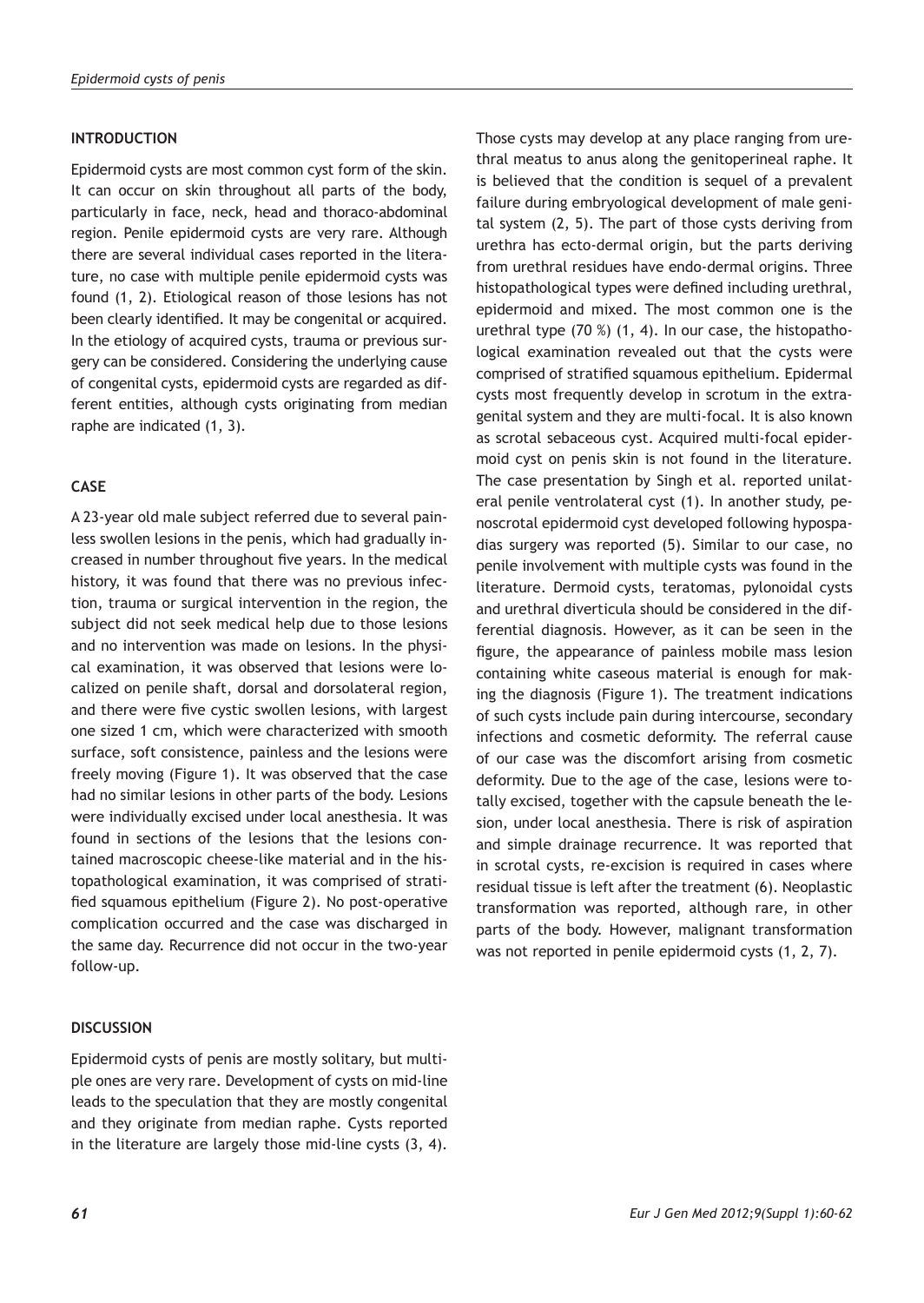# **INTRODUCTION**

Epidermoid cysts are most common cyst form of the skin. It can occur on skin throughout all parts of the body, particularly in face, neck, head and thoraco-abdominal region. Penile epidermoid cysts are very rare. Although there are several individual cases reported in the literature, no case with multiple penile epidermoid cysts was found (1, 2). Etiological reason of those lesions has not been clearly identified. It may be congenital or acquired. In the etiology of acquired cysts, trauma or previous surgery can be considered. Considering the underlying cause of congenital cysts, epidermoid cysts are regarded as different entities, although cysts originating from median raphe are indicated (1, 3).

# **CASE**

A 23-year old male subject referred due to several painless swollen lesions in the penis, which had gradually increased in number throughout five years. In the medical history, it was found that there was no previous infection, trauma or surgical intervention in the region, the subject did not seek medical help due to those lesions and no intervention was made on lesions. In the physical examination, it was observed that lesions were localized on penile shaft, dorsal and dorsolateral region, and there were five cystic swollen lesions, with largest one sized 1 cm, which were characterized with smooth surface, soft consistence, painless and the lesions were freely moving (Figure 1). It was observed that the case had no similar lesions in other parts of the body. Lesions were individually excised under local anesthesia. It was found in sections of the lesions that the lesions contained macroscopic cheese-like material and in the histopathological examination, it was comprised of stratified squamous epithelium (Figure 2). No post-operative complication occurred and the case was discharged in the same day. Recurrence did not occur in the two-year follow-up.

## **DISCUSSION**

Epidermoid cysts of penis are mostly solitary, but multiple ones are very rare. Development of cysts on mid-line leads to the speculation that they are mostly congenital and they originate from median raphe. Cysts reported in the literature are largely those mid-line cysts (3, 4). Those cysts may develop at any place ranging from urethral meatus to anus along the genitoperineal raphe. It is believed that the condition is sequel of a prevalent failure during embryological development of male genital system (2, 5). The part of those cysts deriving from urethra has ecto-dermal origin, but the parts deriving from urethral residues have endo-dermal origins. Three histopathological types were defined including urethral, epidermoid and mixed. The most common one is the urethral type (70 %) (1, 4). In our case, the histopathological examination revealed out that the cysts were comprised of stratified squamous epithelium. Epidermal cysts most frequently develop in scrotum in the extragenital system and they are multi-focal. It is also known as scrotal sebaceous cyst. Acquired multi-focal epidermoid cyst on penis skin is not found in the literature. The case presentation by Singh et al. reported unilateral penile ventrolateral cyst (1). In another study, penoscrotal epidermoid cyst developed following hypospadias surgery was reported (5). Similar to our case, no penile involvement with multiple cysts was found in the literature. Dermoid cysts, teratomas, pylonoidal cysts and urethral diverticula should be considered in the differential diagnosis. However, as it can be seen in the figure, the appearance of painless mobile mass lesion containing white caseous material is enough for making the diagnosis (Figure 1). The treatment indications of such cysts include pain during intercourse, secondary infections and cosmetic deformity. The referral cause of our case was the discomfort arising from cosmetic deformity. Due to the age of the case, lesions were totally excised, together with the capsule beneath the lesion, under local anesthesia. There is risk of aspiration and simple drainage recurrence. It was reported that in scrotal cysts, re-excision is required in cases where residual tissue is left after the treatment (6). Neoplastic transformation was reported, although rare, in other parts of the body. However, malignant transformation was not reported in penile epidermoid cysts (1, 2, 7).